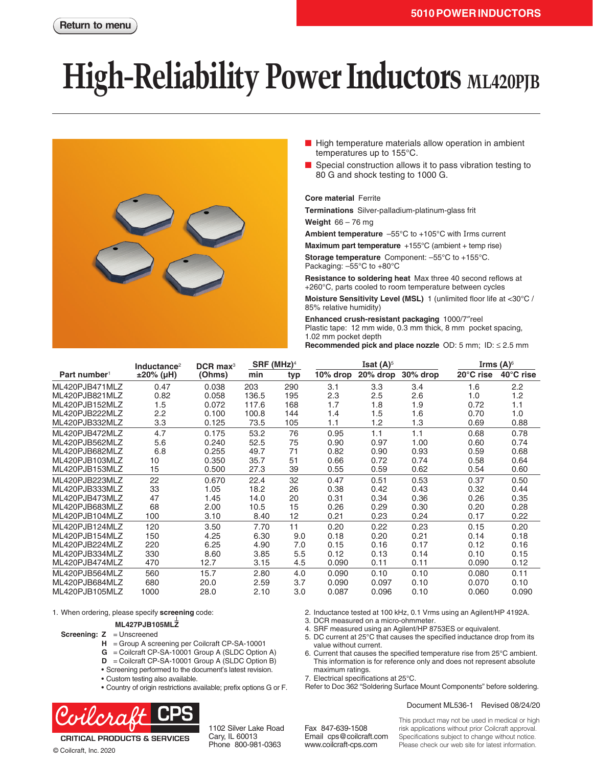# **High-Reliability Power Inductors ML420PJB**



- High temperature materials allow operation in ambient temperatures up to 155°C.
- Special construction allows it to pass vibration testing to 80 G and shock testing to 1000 G.

#### **Core material** Ferrite

**Terminations** Silver-palladium-platinum-glass frit

**Weight** 66 – 76 mg

**Ambient temperature** –55°C to +105°C with Irms current

**Maximum part temperature** +155°C (ambient + temp rise)

**Storage temperature** Component: –55°C to +155°C. Packaging: –55°C to +80°C

**Resistance to soldering heat** Max three 40 second reflows at +260°C, parts cooled to room temperature between cycles

**Moisture Sensitivity Level (MSL)** 1 (unlimited floor life at <30°C / 85% relative humidity)

**Enhanced crush-resistant packaging** 1000/7″reel Plastic tape: 12 mm wide, 0.3 mm thick, 8 mm pocket spacing, 1.02 mm pocket depth

**Recommended pick and place nozzle** OD: 5 mm; ID: ≤ 2.5 mm

|                          | Inductance <sup>2</sup> | $DCR$ max <sup>3</sup> | SRF (MHz) <sup>4</sup> |     | Isat (A) $^5$ |          |          | Irms $(A)^6$ |           |
|--------------------------|-------------------------|------------------------|------------------------|-----|---------------|----------|----------|--------------|-----------|
| Part number <sup>1</sup> | $±20\%$ (µH)            | (Ohms)                 | min                    | typ | 10% drop      | 20% drop | 30% drop | 20°C rise    | 40°C rise |
| ML420PJB471MLZ           | 0.47                    | 0.038                  | 203                    | 290 | 3.1           | 3.3      | 3.4      | 1.6          | 2.2       |
| ML420PJB821MLZ           | 0.82                    | 0.058                  | 136.5                  | 195 | 2.3           | 2.5      | 2.6      | 1.0          | 1.2       |
| ML420PJB152MLZ           | 1.5                     | 0.072                  | 117.6                  | 168 | 1.7           | 1.8      | 1.9      | 0.72         | 1.1       |
| ML420PJB222MLZ           | 2.2                     | 0.100                  | 100.8                  | 144 | 1.4           | 1.5      | 1.6      | 0.70         | 1.0       |
| ML420PJB332MLZ           | 3.3                     | 0.125                  | 73.5                   | 105 | 1.1           | 1.2      | 1.3      | 0.69         | 0.88      |
| MI 420PJB472MI 7         | 4.7                     | 0.175                  | 53.2                   | 76  | 0.95          | 1.1      | 1.1      | 0.68         | 0.78      |
| ML420PJB562MLZ           | 5.6                     | 0.240                  | 52.5                   | 75  | 0.90          | 0.97     | 1.00     | 0.60         | 0.74      |
| ML420PJB682MLZ           | 6.8                     | 0.255                  | 49.7                   | 71  | 0.82          | 0.90     | 0.93     | 0.59         | 0.68      |
| ML420PJB103MLZ           | 10                      | 0.350                  | 35.7                   | 51  | 0.66          | 0.72     | 0.74     | 0.58         | 0.64      |
| ML420PJB153MLZ           | 15                      | 0.500                  | 27.3                   | 39  | 0.55          | 0.59     | 0.62     | 0.54         | 0.60      |
| ML420PJB223MLZ           | 22                      | 0.670                  | 22.4                   | 32  | 0.47          | 0.51     | 0.53     | 0.37         | 0.50      |
| ML420PJB333MLZ           | 33                      | 1.05                   | 18.2                   | 26  | 0.38          | 0.42     | 0.43     | 0.32         | 0.44      |
| ML420PJB473MLZ           | 47                      | 1.45                   | 14.0                   | 20  | 0.31          | 0.34     | 0.36     | 0.26         | 0.35      |
| ML420PJB683MLZ           | 68                      | 2.00                   | 10.5                   | 15  | 0.26          | 0.29     | 0.30     | 0.20         | 0.28      |
| ML420PJB104MLZ           | 100                     | 3.10                   | 8.40                   | 12  | 0.21          | 0.23     | 0.24     | 0.17         | 0.22      |
| ML420PJB124MLZ           | 120                     | 3.50                   | 7.70                   | 11  | 0.20          | 0.22     | 0.23     | 0.15         | 0.20      |
| ML420PJB154MLZ           | 150                     | 4.25                   | 6.30                   | 9.0 | 0.18          | 0.20     | 0.21     | 0.14         | 0.18      |
| ML420PJB224MLZ           | 220                     | 6.25                   | 4.90                   | 7.0 | 0.15          | 0.16     | 0.17     | 0.12         | 0.16      |
| ML420PJB334MLZ           | 330                     | 8.60                   | 3.85                   | 5.5 | 0.12          | 0.13     | 0.14     | 0.10         | 0.15      |
| ML420PJB474MLZ           | 470                     | 12.7                   | 3.15                   | 4.5 | 0.090         | 0.11     | 0.11     | 0.090        | 0.12      |
| ML420PJB564MLZ           | 560                     | 15.7                   | 2.80                   | 4.0 | 0.090         | 0.10     | 0.10     | 0.080        | 0.11      |
| ML420PJB684MLZ           | 680                     | 20.0                   | 2.59                   | 3.7 | 0.090         | 0.097    | 0.10     | 0.070        | 0.10      |
| ML420PJB105MLZ           | 1000                    | 28.0                   | 2.10                   | 3.0 | 0.087         | 0.096    | 0.10     | 0.060        | 0.090     |

1. When ordering, please specify **screening** code:

#### **ML427PJB105MLZ**

#### **Screening: Z** = Unscreened

- **H** = Group A screening per Coilcraft CP-SA-10001
- **G** = Coilcraft CP-SA-10001 Group A (SLDC Option A)
- **D** = Coilcraft CP-SA-10001 Group A (SLDC Option B)
- Screening performed to the document's latest revision.
- Custom testing also available.
- Country of origin restrictions available; prefix options G or F.



1102 Silver Lake Road Cary, IL 60013 Phone 800-981-0363

2. Inductance tested at 100 kHz, 0.1 Vrms using an Agilent/HP 4192A.

3. DCR measured on a micro-ohmmeter.

- 4. SRF measured using an Agilent/HP 8753ES or equivalent.
- 5. DC current at 25°C that causes the specified inductance drop from its value without current.

6. Current that causes the specified temperature rise from 25°C ambient. This information is for reference only and does not represent absolute maximum ratings.

7. Electrical specifications at 25°C.

Refer to Doc 362 "Soldering Surface Mount Components" before soldering.

### Document ML536-1 Revised 08/24/20

Fax 847-639-1508 Email cps@coilcraft.com www.coilcraft-cps.com

This product may not be used in medical or high risk applications without prior Coilcraft approval. Specifications subject to change without notice. Please check our web site for latest information.